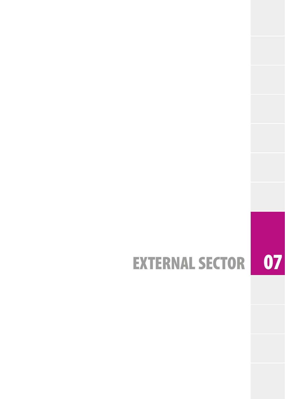# EXTERNAL SECTOR 07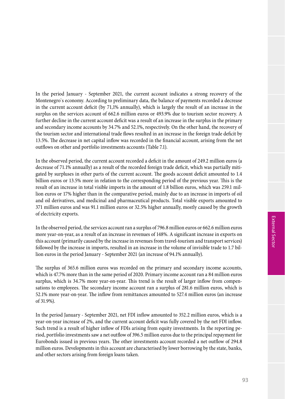In the period January - September 2021, the current account indicates a strong recovery of the Montenegro`s economy. According to preliminary data, the balance of payments recorded a decrease in the current account deficit (by 71,1% annually), which is largely the result of an increase in the surplus on the services account of 662.6 million euros or 493.9% due to tourism sector recovery. A further decline in the current account deficit was a result of an increase in the surplus in the primary and secondary income accounts by 34.7% and 52.1%, respectively. On the other hand, the recovery of the tourism sector and international trade flows resulted in an increase in the foreign trade deficit by 13.5%. The decrease in net capital inflow was recorded in the financial account, arising from the net outflows on other and portfolio investments accounts (Table 7.1).

In the observed period, the current account recorded a deficit in the amount of 249.2 million euros (a decrease of 71.1% annually) as a result of the recorded foreign trade deficit, which was partially mitigated by surpluses in other parts of the current account. The goods account deficit amounted to 1.4 billion euros or 13.5% more in relation to the corresponding period of the previous year. This is the result of an increase in total visible imports in the amount of 1.8 billion euros, which was 259.1 million euros or 17% higher than in the comparative period, mainly due to an increase in imports of oil and oil derivatives, and medicinal and pharmaceutical products. Total visible exports amounted to 371 million euros and was 91.1 million euros or 32.5% higher annually, mostly caused by the growth of electricity exports.

In the observed period, the services account ran a surplus of 796.8 million euros or 662.6 million euros more year-on-year, as a result of an increase in revenues of 148%. A significant increase in exports on this account (primarily caused by the increase in revenues from travel-tourism and transport services) followed by the increase in imports, resulted in an increase in the volume of invisible trade to 1.7 billion euros in the period January - September 2021 (an increase of 94.1% annually).

The surplus of 365.6 million euros was recorded on the primary and secondary income accounts, which is 47.7% more than in the same period of 2020. Primary income account ran a 84 million euros surplus, which is 34.7% more year-on-year. This trend is the result of larger inflow from compensations to employees. The secondary income account ran a surplus of 281.6 million euros, which is 52.1% more year-on-year. The inflow from remittances amounted to 527.4 million euros (an increase of 31.9%).

In the period January - September 2021, net FDI inflow amounted to 352.2 million euros, which is a year-on-year increase of 2%, and the current account deficit was fully covered by the net FDI inflow. Such trend is a result of higher inflow of FDIs arising from equity investments. In the reporting period, portfolio investments saw a net outflow of 396.5 million euros due to the principal repayment for Eurobonds issued in previous years. The other investments account recorded a net outflow of 294.8 million euros. Developments in this account are characterised by lower borrowing by the state, banks, and other sectors arising from foreign loans taken.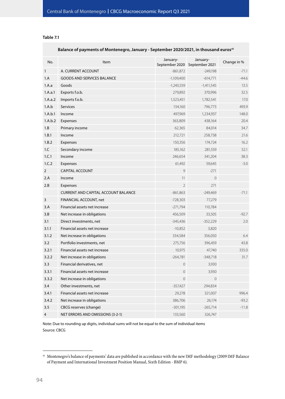## **Table 7.1**

## Balance of payments of Montenegro, January - September 2020/2021, in thousand euros<sup>41</sup>

| No.            | Item                                | January-<br>September 2020 September 2021 | January-     | Change in % |
|----------------|-------------------------------------|-------------------------------------------|--------------|-------------|
| $\mathbf{1}$   | A. CURRENT ACCOUNT                  | $-861,872$                                | $-249,198$   | -71.1       |
| 1.A            | <b>GOODS AND SERVICES BALANCE</b>   | $-1,109,400$                              | $-614,771$   | $-44.6$     |
| 1.A.a          | Goods                               | $-1,243,559$                              | $-1,411,545$ | 13.5        |
| 1.A.a.1        | Exports f.o.b.                      | 279,892                                   | 370,996      | 32.5        |
| 1.A.a.2        | Imports f.o.b.                      | 1,523,451                                 | 1,782,541    | 17.0        |
| 1.A.b          | <b>Services</b>                     | 134,160                                   | 796,773      | 493.9       |
| 1.A.b.1        | Income                              | 497,969                                   | 1,234,937    | 148.0       |
| 1.A.b.2        | Expenses                            | 363,809                                   | 438,164      | 20.4        |
| 1.B            | Primary income                      | 62,365                                    | 84,014       | 34.7        |
| 1.B.1          | Income                              | 212,721                                   | 258,738      | 21.6        |
| 1.B.2          | <b>Expenses</b>                     | 150,356                                   | 174,724      | 16.2        |
| 1.C            | Secondary income                    | 185,162                                   | 281,559      | 52.1        |
| 1.C.1          | Income                              | 246,654                                   | 341,204      | 38.3        |
| 1.C.2          | Expenses                            | 61,492                                    | 59,645       | $-3.0$      |
| $\overline{2}$ | <b>CAPITAL ACCOUNT</b>              | 9                                         | $-271$       |             |
| 2.A            | Income                              | 11                                        | $\mathbf{0}$ |             |
| 2.B            | Expenses                            | $\overline{2}$                            | 271          |             |
|                | CURRENT AND CAPITAL ACCOUNT BALANCE | $-861,863$                                | $-249,469$   | -71.1       |
| 3              | FINANCIAL ACCOUNT, net              | $-728,303$                                | 77,279       |             |
| 3.A            | Financial assets net increase       | $-271,794$                                | 110,784      |             |
| 3.B            | Net increase in obligations         | 456,509                                   | 33,505       | $-92.7$     |
| 3.1            | Direct investments, net             | $-345,436$                                | $-352,229$   | 2.0         |
| 3.1.1          | Financial assets net increase       | $-10,852$                                 | 3,820        |             |
| 3.1.2          | Net increase in obligations         | 334,584                                   | 356,050      | 6.4         |
| 3.2            | Portfolio investments, net          | 275,756                                   | 396,459      | 43.8        |
| 3.2.1          | Financial assets net increase       | 10,975                                    | 47,740       | 335.0       |
| 3.2.2          | Net increase in obligations         | $-264,781$                                | $-348,718$   | 31.7        |
| 3.3            | Financial derivatives, net          | $\mathbf 0$                               | 3,930        |             |
| 3.3.1          | Financial assets net increase       | $\mathbf 0$                               | 3,930        |             |
| 3.3.2          | Net increase in obligations         | $\mathbf 0$                               | $\mathbf 0$  |             |
| 3.4            | Other investments, net              | $-357,427$                                | 294,834      |             |
| 3.4.1          | Financial assets net increase       | 29,278                                    | 321,007      | 996.4       |
| 3.4.2          | Net increase in obligations         | 386,706                                   | 26,174       | $-93.2$     |
| 3.5            | CBCG reserves (change)              | $-301,195$                                | $-265,714$   | $-11.8$     |
| 4              | NET ERRORS AND OMISSIONS (3-2-1)    | 133,560                                   | 326,747      |             |

Note: Due to rounding up digits, individual sums will not be equal to the sum of individual items Source: CBCG

 $^{41}\,$  Montenegro's balance of payments' data are published in accordance with the new IMF methodology (2009 IMF Balance of Payment and International Investment Position Manual, Sixth Edition - BMP 6).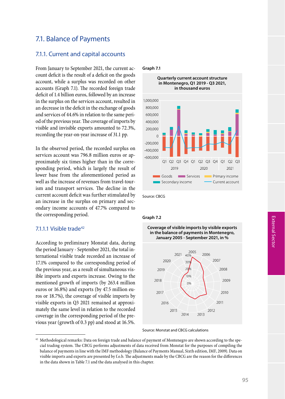## 7.1. Balance of Payments

## 7.1.1. Current and capital accounts

From January to September 2021, the current account deficit is the result of a deficit on the goods account, while a surplus was recorded on other accounts (Graph 7.1). The recorded foreign trade deficit of 1.4 billion euros, followed by an increase in the surplus on the services account, resulted in an decrease in the deficit in the exchange of goods and services of 44.6% in relation to the same period of the previous year. The coverage of imports by visible and invisible exports amounted to 72.3%, recording the year-on-year increase of 31.1 pp.

In the observed period, the recorded surplus on services account was 796.8 million euros or approximately six times higher than in the corresponding period, which is largely the result of lower base from the aforementioned period as well as the increase of revenues from travel-tourism and transport services. The decline in the current account deficit was further stimulated by an increase in the surplus on primary and secondary income accounts of 47.7% compared to the corresponding period.

## 7.1.1.1 Visible trade<sup>42</sup>

According to preliminary Monstat data, during the period January - September 2021, the total international visible trade recorded an increase of 17.1% compared to the corresponding period of the previous year, as a result of simultaneous visible imports and exports increase. Owing to the mentioned growth of imports (by 263.4 million euros or 16.8%) and exports (by 47.5 million euros or 18.7%), the coverage of visible imports by visible exports in Q3 2021 remained at approximately the same level in relation to the recorded coverage in the corresponding period of the previous year (growth of 0.3 pp) and stood at 16.5%.

## **Graph 7.1**



Source: CBCG

## **Graph 7.2**





Source: Monstat and CBCG calculations

 $42$  Methodological remarks: Data on foreign trade and balance of payment of Montenegro are shown according to the special trading system. The CBCG performs adjustments of data received from Monstat for the purposes of compiling the balance of payments in line with the IMF methodology (Balance of Payments Manual, Sixth edition, IMF, 2009). Data on visible imports and exports are presented by f.o.b. The adjustments made by the CBCG are the reason for the differences in the data shown in Table 7.1 and the data analysed in this chapter.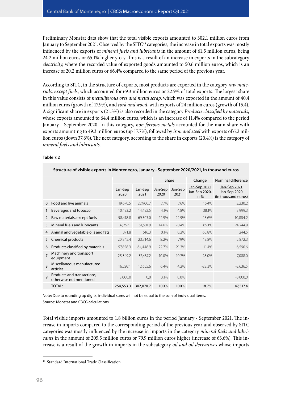Preliminary Monstat data show that the total visible exports amounted to 302.1 million euros from January to September 2021. Observed by the SITC<sup>43</sup> categories, the increase in total exports was mostly influenced by the exports of *mineral fuels and lubricants* in the amount of 61.5 million euros, being 24.2 million euros or 65.1% higher y-o-y. This is a result of an increase in exports in the subcategory *electricity*, where the recorded value of exported goods amounted to 50.6 million euros, which is an increase of 20.2 million euros or 66.4% compared to the same period of the previous year.

According to SITC, in the structure of exports, most products are exported in the category *raw materials, except fuels*, which accounted for 69.3 million euros or 22.9% of total exports. The largest share in this value consists of *metalliferous ores and metal scrap*, which was exported in the amount of 40.4 million euros (growth of 17.9%), and *cork and wood*, with exports of 24 million euros (growth of 15.4). A significant share in exports (21.3%) is also recorded in the category *Products classified by materials*, whose exports amounted to 64.4 million euros, which is an increase of 11.4% compared to the period January - September 2020. In this category, *non-ferrous metals* accounted for the main share with exports amounting to 49.3 million euros (up 17.7%), followed by *iron and steel* with exports of 6.2 million euros (down 37.6%). The next category, according to the share in exports (20.4%) is the category of *mineral fuels and lubricants*.

## **Table 7.2**

|                |                                                       |                 |                 | Share           |                 | Change                                  | Nominal difference                                  |  |
|----------------|-------------------------------------------------------|-----------------|-----------------|-----------------|-----------------|-----------------------------------------|-----------------------------------------------------|--|
|                |                                                       | Jan-Sep<br>2020 | Jan-Sep<br>2021 | Jan-Sep<br>2020 | Jan-Sep<br>2021 | Jan-Sep 2021<br>Jan-Sep 2020,<br>in $%$ | Jan-Sep 2021<br>Jan-Sep 2020<br>(in thousand euros) |  |
| $\mathbf{0}$   | Food and live animals                                 | 19,670.5        | 22,900.7        | 7.7%            | 7.6%            | 16.4%                                   | 3,230.2                                             |  |
|                | Beverages and tobacco                                 | 10,493.2        | 14,492.5        | 4.1%            | 4.8%            | 38.1%                                   | 3,999.3                                             |  |
| 2              | Raw materials, except fuels                           | 58,418.8        | 69,303.0        | 22.9%           | 22.9%           | 18.6%                                   | 10,884.2                                            |  |
| 3              | Mineral fuels and lubricants                          | 37,257.1        | 61,501.9        | 14.6%           | 20.4%           | 65.1%                                   | 24,244.9                                            |  |
| 4              | Animal and vegetable oils and fats                    | 371.8           | 616.3           | 0.1%            | 0.2%            | 65.8%                                   | 244.5                                               |  |
| 5              | Chemical products                                     | 20,842.4        | 23,714.6        | 8.2%            | 7.9%            | 13.8%                                   | 2,872.3                                             |  |
| 6              | Products classified by materials                      | 57,858.3        | 64,448.9        | 22.7%           | 21.3%           | 11.4%                                   | 6,590.6                                             |  |
| $\overline{7}$ | Machinery and transport<br>equipment                  | 25,349.2        | 32,437.2        | 10.0%           | 10.7%           | 28.0%                                   | 7,088.0                                             |  |
| $\mathbf{8}$   | Miscellaneous manufactured<br>articles                | 16,292.1        | 12,655.6        | 6.4%            | 4.2%            | $-22.3%$                                | $-3,636.5$                                          |  |
| $\mathsf{Q}$   | Products and transactions,<br>otherwise not mentioned | 8,000.0         | 0,0             | 3.1%            | 0.0%            |                                         | $-8,000.0$                                          |  |
|                | <b>TOTAL:</b>                                         | 254,553.3       | 302,070.7       | 100%            | 100%            | 18.7%                                   | 47,517.4                                            |  |

#### **Structure of visible exports in Montenegro, January - September 2020/2021, in thousand euros**

Note: Due to rounding up digits, individual sums will not be equal to the sum of individual items. Source: Monstat and CBCG calculations

Total visible imports amounted to 1.8 billion euros in the period January - September 2021. The increase in imports compared to the corresponding period of the previous year and observed by SITC categories was mostly influenced by the increase in imports in the category *mineral fuels and lubricants* in the amount of 205.5 million euros or 79.9 million euros higher (increase of 63.6%). This increase is a result of the growth in imports in the subcategory *oil and oil derivatives* whose imports

<sup>43</sup> Standard International Trade Classification.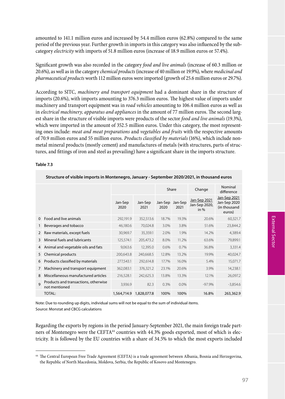amounted to 141.1 million euros and increased by 54.4 million euros (62.8%) compared to the same period of the previous year. Further growth in imports in this category was also influenced by the subcategory *electricity* with imports of 51.8 million euros (increase of 18.9 million euros or 57.4%).

Significant growth was also recorded in the category *food and live animals* (increase of 60.3 million or 20.6%), as well as in the category *chemical products* (increase of 40 million or 19.9%), where *medicinal and pharmaceutical products* worth 112 million euros were imported (growth of 25.6 million euros or 29.7%).

According to SITC, *machinery and transport equipment* had a dominant share in the structure of imports (20.6%), with imports amounting to 376.3 million euros. The highest value of imports under machinery and transport equipment was in *road vehicles* amounting to 106.4 million euros as well as in *electrical machinery, apparatus and appliances* in the amount of 77 million euros. The second largest share in the structure of visible imports were products of the sector *food and live animals* (19.3%), which were imported in the amount of 352.5 million euros. Under this category, the most representing ones include: *meat and meat preparations* and *vegetables and fruits* with the respective amounts of 70.9 million euros and 55 million euros. *Products classified by materials* (16%), which include nonmetal mineral products (mostly cement) and manufactures of metals (with structures, parts of structures, and fittings of iron and steel as prevailing) have a significant share in the imports structure.

## **Table 7.3**

|                |                                                       |                 |                 | Share           |                 | Change                                         | Nominal<br>difference                                  |  |
|----------------|-------------------------------------------------------|-----------------|-----------------|-----------------|-----------------|------------------------------------------------|--------------------------------------------------------|--|
|                |                                                       | Jan-Sep<br>2020 | Jan-Sep<br>2021 | Jan-Sep<br>2020 | Jan-Sep<br>2021 | <b>Jan-Sep 2021</b><br>Jan-Sep 2020,<br>in $%$ | Jan-Sep 2021<br>Jan-Sep 2020<br>(in thousand<br>euros) |  |
| $\Omega$       | Food and live animals                                 | 292,191.9       | 352,513.6       | 18.7%           | 19.3%           | 20.6%                                          | 60,321.7                                               |  |
|                | Beverages and tobacco                                 | 46,180.6        | 70,024.8        | 3.0%            | 3.8%            | 51.6%                                          | 23,844.2                                               |  |
| 2              | Raw materials, except fuels                           | 30,969.7        | 35,359.1        | 2.0%            | 1.9%            | 14.2%                                          | 4,389.4                                                |  |
| 3              | Mineral fuels and lubricants                          | 125,574.1       | 205,473.2       | 8.0%            | 11.2%           | 63.6%                                          | 79,899.1                                               |  |
| 4              | Animal and vegetable oils and fats                    | 9,063.6         | 12,395.0        | 0.6%            | 0.7%            | 36.8%                                          | 3,331.4                                                |  |
| 5              | Chemical products                                     | 200,643.8       | 240,668.5       | 12.8%           | 13.2%           | 19.9%                                          | 40,024.7                                               |  |
| 6              | Products classified by materials                      | 277,543.1       | 292,614.8       | 17.7%           | 16.0%           | 5.4%                                           | 15,071.7                                               |  |
| $\overline{7}$ | Machinery and transport equipment                     | 362,083.1       | 376,321.2       | 23.1%           | 20.6%           | 3.9%                                           | 14,238.1                                               |  |
| 8              | Miscellaneous manufactured articles                   | 216,528.1       | 242,625.3       | 13.8%           | 13.3%           | 12.1%                                          | 26,097.2                                               |  |
| $\mathbf{Q}$   | Products and transactions, otherwise<br>not mentioned | 3,936.9         | 82.3            | 0.3%            | 0.0%            | $-97.9%$                                       | $-3,854.6$                                             |  |
|                | <b>TOTAL:</b>                                         | 1,564,714.9     | 1,828,077.8     | 100%            | 100%            | 16.8%                                          | 263,362.9                                              |  |

## **Structure of visible imports in Montenegro, January - September 2020/2021, in thousand euros**

Note: Due to rounding up digits, individual sums will not be equal to the sum of individual items. Source: Monstat and CBCG calculations

Regarding the exports by regions in the period January-September 2021, the main foreign trade partners of Montenegro were the CEFTA<sup>44</sup> countries with 44.3% goods exported, most of which is electricity. It is followed by the EU countries with a share of 34.5% to which the most exports included

<sup>44</sup> The Central European Free Trade Agreement (CEFTA) is a trade agreement between Albania, Bosnia and Herzegovina, the Republic of North Macedonia, Moldova, Serbia, the Republic of Kosovo and Montenegro.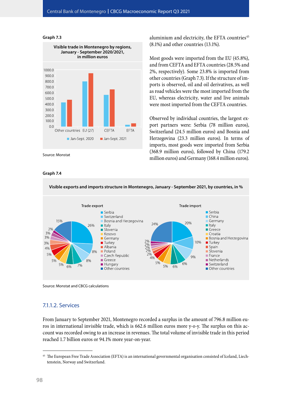### **Graph 7.3**



Source: Monstat

#### **Graph 7.4**

aluminium and electricity, the EFTA countries<sup>45</sup> (8.1%) and other countries (13.1%).

Most goods were imported from the EU (45.8%), and from CEFTA and EFTA countries (28.5% and 2%, respectively). Some 23.8% is imported from other countries (Graph 7.3). If the structure of imports is observed, oil and oil derivatives, as well as road vehicles were the most imported from the EU, whereas electricity, water and live animals were most imported from the CEFTA countries.

Observed by individual countries, the largest export partners were: Serbia (78 million euros), Switzerland (24.5 million euros) and Bosnia and Herzegovina (23.3 million euros). In terms of imports, most goods were imported from Serbia (368.9 million euros), followed by China (179.2 million euros) and Germany (168.4 million euros).



Source: Monstat and CBCG calculations

## 7.1.1.2. Services

From January to September 2021, Montenegro recorded a surplus in the amount of 796.8 million euros in international invisible trade, which is 662.6 million euros more y-o-y. The surplus on this account was recorded owing to an increase in revenues. The total volume of invisible trade in this period reached 1.7 billion euros or 94.1% more year-on-year.

<sup>45</sup> The European Free Trade Association (EFTA) is an international governmental organisation consisted of Iceland, Liechtenstein, Norway and Switzerland.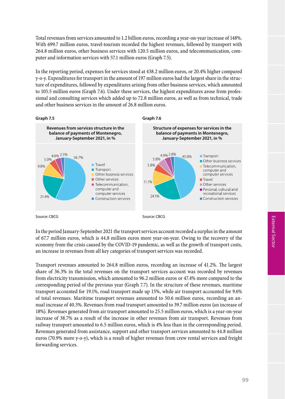Total revenues from services amounted to 1.2 billion euros, recording a year-on-year increase of 148%. With 699.7 million euros, travel-tourism recorded the highest revenues, followed by transport with 264.8 million euros, other business services with 120.5 million euros, and telecommunication, computer and information services with 57.1 million euros (Graph 7.5).

In the reporting period, expenses for services stood at 438.2 million euros, or 20.4% higher compared y-o-y. Expenditures for transport in the amount of 197 million euros had the largest share in the structure of expenditures, followed by expenditures arising from other business services, which amounted to 105.5 million euros (Graph 7.6). Under these services, the highest expenditures arose from professional and consulting services which added up to 72.8 million euros, as well as from technical, trade and other business services in the amount of 26.8 million euros.





Source: CBCG Source: CBCG

In the period January-September 2021 the transport services account recorded a surplus in the amount of 67.7 million euros, which is 44.8 million euros more year-on-year. Owing to the recovery of the economy from the crisis caused by the COVID-19 pandemic, as well as the growth of transport costs, an increase in revenues from all key categories of transport services was recorded.

Transport revenues amounted to 264.8 million euros, recording an increase of 41.2%. The largest share of 36.3% in the total revenues on the transport services account was recorded by revenues from electricity transmission, which amounted to 96.2 million euros or 47.4% more compared to the corresponding period of the previous year (Graph 7.7). In the structure of these revenues, maritime transport accounted for 19.1%, road transport made up 15%, while air transport accounted for 9.6% of total revenues. Maritime transport revenues amounted to 50.6 million euros, recording an annual increase of 40.3%. Revenues from road transport amounted to 39.7 million euros (an increase of 18%). Revenues generated from air transport amounted to 25.5 million euros, which is a year-on-year increase of 38.7% as a result of the increase in other revenues from air transport. Revenues from railway transport amounted to 6.5 million euros, which is 4% less than in the corresponding period. Revenues generated from assistance, support and other transport services amounted to 44.8 million euros (70.9% more y-o-y), which is a result of higher revenues from crew rental services and freight forwarding services.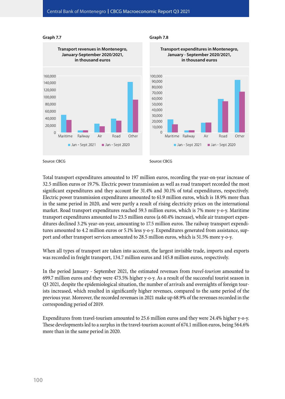## Central Bank of Montenegro | CBCG Macroeconomic Report Q3 2021



**Graph 7.7 Graph 7.8**

Total transport expenditures amounted to 197 million euros, recording the year-on-year increase of 32.5 million euros or 19.7%. Electric power transmission as well as road transport recorded the most significant expenditures and they account for 31.4% and 30.1% of total expenditures, respectively. Electric power transmission expenditures amounted to 61.9 million euros, which is 18.9% more than in the same period in 2020, and were partly a result of rising electricity prices on the international market. Road transport expenditures reached 59.3 million euros, which is 7% more y-o-y. Maritime transport expenditures amounted to 23.5 million euros (a 60.4% increase), while air transport expenditures declined 3.2% year-on-year, amounting to 17.5 million euros. The railway transport expenditures amounted to 4.2 million euros or 5.1% less y-o-y. Expenditures generated from assistance, support and other transport services amounted to 28.5 million euros, which is 51.5% more y-o-y.

When all types of transport are taken into account, the largest invisible trade, imports and exports was recorded in freight transport, 134.7 million euros and 145.8 million euros, respectively.

In the period January - September 2021, the estimated revenues from *travel-tourism* amounted to 699.7 million euros and they were 473.5% higher y-o-y. As a result of the successful tourist season in Q3 2021, despite the epidemiological situation, the number of arrivals and overnights of foreign tourists increased, which resulted in significantly higher revenues, compared to the same period of the previous year. Moreover, the recorded revenues in 2021 make up 68.9% of the revenues recorded in the corresponding period of 2019.

Expenditures from travel-tourism amounted to 25.6 million euros and they were 24.4% higher y-o-y. These developments led to a surplus in the travel-tourism account of 674.1 million euros, being 564.6% more than in the same period in 2020.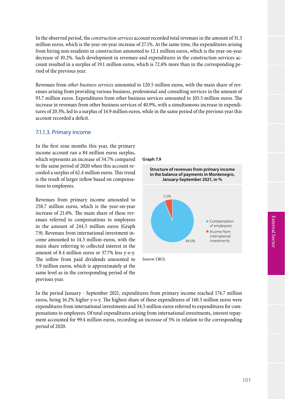In the observed period, the *construction services* account recorded total revenues in the amount of 31.3 million euros, which is the year-on-year increase of 27.1%. At the same time, the expenditures arising from hiring non-residents in construction amounted to 12.1 million euros, which is the year-on-year decrease of 10.2%. Such development in revenues and expenditures in the construction services account resulted in a surplus of 19.1 million euros, which is 72.6% more than in the corresponding period of the previous year.

Revenues from *other business services* amounted to 120.5 million euros, with the main share of revenues arising from providing various business, professional and consulting services in the amount of 93.7 million euros. Expenditures from other business services amounted to 105.5 million euros. The increase in revenues from other business services of 40.9%, with a simultaneous increase in expenditures of 20.3%, led to a surplus of 14.9 million euros, while in the same period of the previous year this account recorded a deficit.

## 7.1.1.3. Primary income

In the first nine months this year, the primary income account ran a 84 million euros surplus, which represents an increase of 34.7% compared to the same period of 2020 when this account recorded a surplus of 62.4 million euros. This trend is the result of larger inflow based on compensations to employees.

Revenues from primary income amounted to 258.7 million euros, which is the year-on-year increase of 21.6%. The main share of these revenues referred to compensations to employees in the amount of 244.5 million euros (Graph 7.9). Revenues from international investment income amounted to 14.3 million euros, with the main share referring to collected interest in the amount of 8.4 million euros or 37.7% less y-o-y. The inflow from paid dividends amounted to 5.9 million euros, which is approximately at the same level as in the corresponding period of the previous year.

## **Graph 7.9**



Source: CBCG

In the period January - September 2021, expenditures from primary income reached 174.7 million euros, being 16.2% higher y-o-y. The highest share of these expenditures of 140.3 million euros were expenditures from international investments and 34.5 million euros referred to expenditures for compensations to employees. Of total expenditures arising from international investments, interest repayment accounted for 99.4 million euros, recording an increase of 5% in relation to the corresponding period of 2020.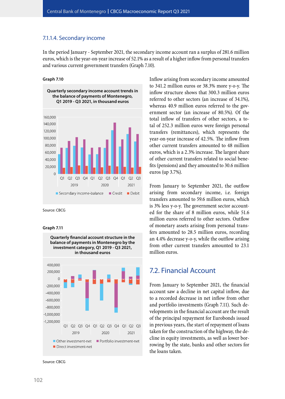## 7.1.1.4. Secondary income

In the period January - September 2021, the secondary income account ran a surplus of 281.6 million euros, which is the year-on-year increase of 52.1% as a result of a higher inflow from personal transfers and various current government transfers (Graph 7.10).

### **Graph 7.10**



Source: CBCG

#### **Graph 7.11**



**Quarterly financial account structure in the** 

Source: CBCG

Inflow arising from secondary income amounted to 341.2 million euros or 38.3% more y-o-y. The inflow structure shows that 300.3 million euros referred to other sectors (an increase of 34.1%), whereas 40.9 million euros referred to the government sector (an increase of 80.5%). Of the total inflow of transfers of other sectors, a total of 252.3 million euros were foreign personal transfers (remittances), which represents the year-on-year increase of 42.5%. The inflow from other current transfers amounted to 48 million euros, which is a 2.3% increase. The largest share of other current transfers related to social benefits (pensions) and they amounted to 30.6 million euros (up 3.7%).

From January to September 2021, the outflow arising from secondary income, i.e. foreign transfers amounted to 59.6 million euros, which is 3% less y-o-y. The government sector accounted for the share of 8 million euros, while 51.6 million euros referred to other sectors. Outflow of monetary assets arising from personal transfers amounted to 28.5 million euros, recording an 4.4% decrease y-o-y, while the outflow arising from other current transfers amounted to 23.1 million euros.

## 7.2. Financial Account

From January to September 2021, the financial account saw a decline in net capital inflow, due to a recorded decrease in net inflow from other and portfolio investments (Graph 7.11). Such developments in the financial account are the result of the principal repayment for Eurobonds issued in previous years, the start of repayment of loans taken for the construction of the highway, the decline in equity investments, as well as lower borrowing by the state, banks and other sectors for the loans taken.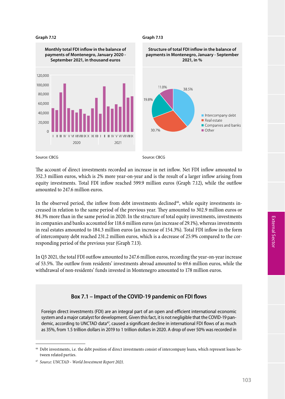## **Graph 7.12**





Source: CBCG

Source: CBCG

The account of direct investments recorded an increase in net inflow. Net FDI inflow amounted to 352.3 million euros, which is 2% more year-on-year and is the result of a larger inflow arising from equity investments. Total FDI inflow reached 599.9 million euros (Graph 7.12), while the outflow amounted to 247.6 million euros.

In the observed period, the inflow from debt investments declined $46$ , while equity investments increased in relation to the same period of the previous year. They amounted to 302.9 million euros or 84.3% more than in the same period in 2020. In the structure of total equity investments, investments in companies and banks accounted for 118.6 million euros (an increase of 29.1%), whereas investments in real estates amounted to 184.3 million euros (an increase of 154.3%). Total FDI inflow in the form of intercompany debt reached 231.2 million euros, which is a decrease of 25.9% compared to the corresponding period of the previous year (Graph 7.13).

In Q3 2021, the total FDI outflow amounted to 247.6 million euros, recording the year-on-year increase of 53.5%. The outflow from residents' investments abroad amounted to 69.6 million euros, while the withdrawal of non-residents' funds invested in Montenegro amounted to 178 million euros.

## **Box 7.1 – Impact of the COVID-19 pandemic on FDI flows**

Foreign direct investments (FDI) are an integral part of an open and efficient international economic system and a major catalyst for development. Given this fact, it is not negligible that the COVID-19 pandemic, according to UNCTAD data<sup>47</sup>, caused a significant decline in international FDI flows of as much as 35%, from 1.5 trillion dollars in 2019 to 1 trillion dollars in 2020. A drop of over 50% was recorded in

<sup>46</sup> Debt investments, i.e. the debt position of direct investments consist of intercompany loans, which represent loans between related parties.

<sup>47</sup> *Source: UNCTAD - World Investment Report 2021.*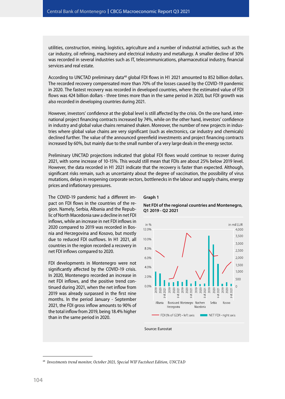utilities, construction, mining, logistics, agriculture and a number of industrial activities, such as the car industry, oil refining, machinery and electrical industry and metallurgy. A smaller decline of 30% was recorded in several industries such as IT, telecommunications, pharmaceutical industry, financial services and real estate.

According to UNCTAD preliminary data<sup>48</sup> global FDI flows in H1 2021 amounted to 852 billion dollars. The recorded recovery compensated more than 70% of the losses caused by the COVID-19 pandemic in 2020. The fastest recovery was recorded in developed countries, where the estimated value of FDI flows was 424 billion dollars - three times more than in the same period in 2020, but FDI growth was also recorded in developing countries during 2021.

However, investors' confidence at the global level is still affected by the crisis. On the one hand, international project financing contracts increased by 74%, while on the other hand, investors' confidence in industry and global value chains remained shaken. Moreover, the number of new projects in industries where global value chains are very significant (such as electronics, car industry and chemicals) declined further. The value of the announced greenfield investments and project financing contracts increased by 60%, but mainly due to the small number of a very large deals in the energy sector.

Preliminary UNCTAD projections indicated that global FDI flows would continue to recover during 2021, with some increase of 10-15%. This would still mean that FDIs are about 25% below 2019 level. However, the data recorded in H1 2021 indicate that the recovery is faster than expected. Although, significant risks remain, such as uncertainty about the degree of vaccination, the possibility of virus mutations, delays in reopening corporate sectors, bottlenecks in the labour and supply chains, energy prices and inflationary pressures.

The COVID-19 pandemic had a different impact on FDI flows in the countries of the region. Namely, Serbia, Albania and the Republic of North Macedonia saw a decline in net FDI inflows, while an increase in net FDI inflows in 2020 compared to 2019 was recorded in Bosnia and Herzegovina and Kosovo, but mostly due to reduced FDI outflows. In H1 2021, all countries in the region recorded a recovery in net FDI inflows compared to 2020.

FDI developments in Montenegro were not significantly affected by the COVID-19 crisis. In 2020, Montenegro recorded an increase in net FDI inflows, and the positive trend continued during 2021, when the net inflow from 2019 was already surpassed in the first nine months. In the period January - September 2021, the FDI gross inflow amounts to 90% of the total inflow from 2019, being 18.4% higher than in the same period in 2020.

#### **Graph 1**





#### Source: Eurostat

<sup>48</sup> *Investments trend monitor, October 2021, Special WIF Factsheet Edition, UNCTAD*